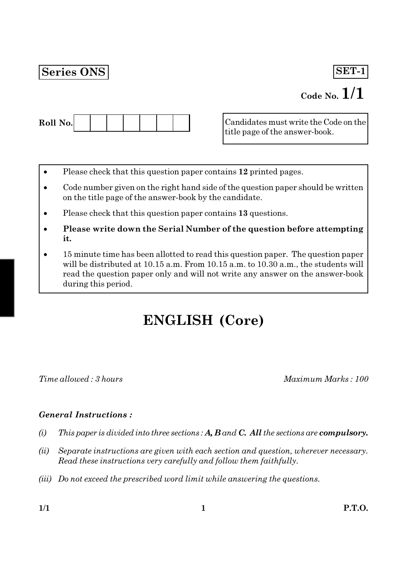## **Series ONS**

## SET-1

# Code No.  $1/1$



Candidates must write the Code on the title page of the answer-book.

- Please check that this question paper contains 12 printed pages.
- Code number given on the right hand side of the question paper should be written on the title page of the answer-book by the candidate.
- Please check that this question paper contains 13 questions.
- Please write down the Serial Number of the question before attempting it.
- 15 minute time has been allotted to read this question paper. The question paper will be distributed at 10.15 a.m. From 10.15 a.m. to 10.30 a.m., the students will read the question paper only and will not write any answer on the answer-book during this period.

# **ENGLISH (Core)**

Time allowed: 3 hours

Maximum Marks: 100

## **General Instructions:**

- This paper is divided into three sections:  $A, B$  and  $C,$  All the sections are compulsory.  $(i)$
- $(ii)$ Separate instructions are given with each section and question, wherever necessary. Read these instructions very carefully and follow them faithfully.
- (iii) Do not exceed the prescribed word limit while answering the questions.

 $1/1$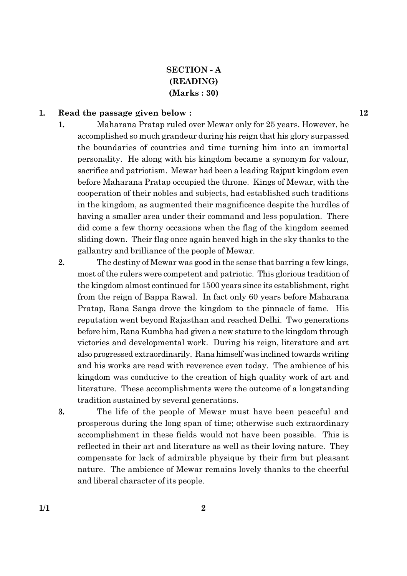## **SECTION - A** (READING)  $(Marks:30)$

#### Read the passage given below: 1.

Maharana Pratap ruled over Mewar only for 25 years. However, he 1. accomplished so much grandeur during his reign that his glory surpassed the boundaries of countries and time turning him into an immortal personality. He along with his kingdom became a synonym for valour, sacrifice and patriotism. Mewar had been a leading Rajput kingdom even before Maharana Pratap occupied the throne. Kings of Mewar, with the cooperation of their nobles and subjects, had established such traditions in the kingdom, as augmented their magnificence despite the hurdles of having a smaller area under their command and less population. There did come a few thorny occasions when the flag of the kingdom seemed sliding down. Their flag once again heaved high in the sky thanks to the gallantry and brilliance of the people of Mewar.

 $2.$ The destiny of Mewar was good in the sense that barring a few kings, most of the rulers were competent and patriotic. This glorious tradition of the kingdom almost continued for 1500 years since its establishment, right from the reign of Bappa Rawal. In fact only 60 years before Maharana Pratap, Rana Sanga drove the kingdom to the pinnacle of fame. His reputation went beyond Rajasthan and reached Delhi. Two generations before him, Rana Kumbha had given a new stature to the kingdom through victories and developmental work. During his reign, literature and art also progressed extraordinarily. Rana himself was inclined towards writing and his works are read with reverence even today. The ambience of his kingdom was conducive to the creation of high quality work of art and literature. These accomplishments were the outcome of a longstanding tradition sustained by several generations.

3. The life of the people of Mewar must have been peaceful and prosperous during the long span of time; otherwise such extraordinary accomplishment in these fields would not have been possible. This is reflected in their art and literature as well as their loving nature. They compensate for lack of admirable physique by their firm but pleasant nature. The ambience of Mewar remains lovely thanks to the cheerful and liberal character of its people.

12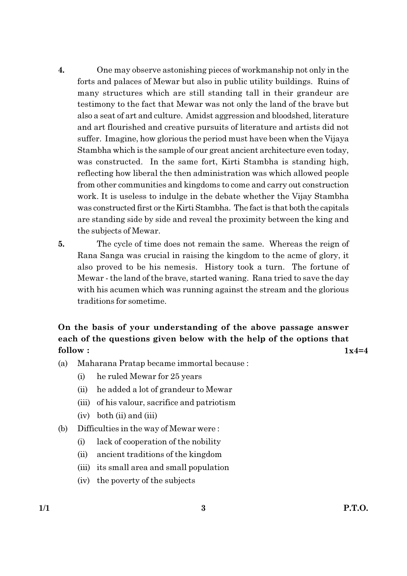- $4.$ One may observe astonishing pieces of workmanship not only in the forts and palaces of Mewar but also in public utility buildings. Ruins of many structures which are still standing tall in their grandeur are testimony to the fact that Mewar was not only the land of the brave but also a seat of art and culture. Amidst aggression and bloodshed, literature and art flourished and creative pursuits of literature and artists did not suffer. Imagine, how glorious the period must have been when the Vijaya Stambha which is the sample of our great ancient architecture even today, was constructed. In the same fort, Kirti Stambha is standing high, reflecting how liberal the then administration was which allowed people from other communities and kingdoms to come and carry out construction work. It is useless to indulge in the debate whether the Vijay Stambha was constructed first or the Kirti Stambha. The fact is that both the capitals are standing side by side and reveal the proximity between the king and the subjects of Mewar.
- 5. The cycle of time does not remain the same. Whereas the reign of Rana Sanga was crucial in raising the kingdom to the acme of glory, it also proved to be his nemesis. History took a turn. The fortune of Mewar - the land of the brave, started waning. Rana tried to save the day with his acumen which was running against the stream and the glorious traditions for sometime.

### On the basis of your understanding of the above passage answer each of the questions given below with the help of the options that follow:  $1x4=4$

- 
- 
- $(a)$ Maharana Pratap became immortal because:
	- he ruled Mewar for 25 years  $(i)$
	- $(ii)$ he added a lot of grandeur to Mewar
	- (iii) of his valour, sacrifice and patriotism
	- $(iv)$  both  $(ii)$  and  $(iii)$
- Difficulties in the way of Mewar were: (b)
	- lack of cooperation of the nobility  $(i)$
	- ancient traditions of the kingdom  $(ii)$
	- (iii) its small area and small population
	- (iv) the poverty of the subjects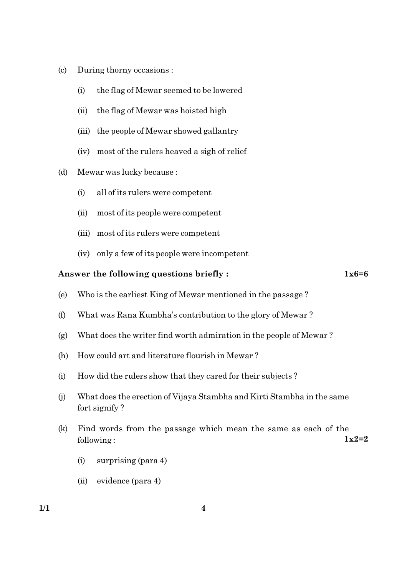- $(c)$ During thorny occasions :
	- the flag of Mewar seemed to be lowered  $(i)$
	- $(ii)$ the flag of Mewar was hoisted high
	- (iii) the people of Mewar showed gallantry
	- (iv) most of the rulers heaved a sigh of relief
- $(d)$ Mewar was lucky because:
	- all of its rulers were competent  $(i)$
	- $(ii)$ most of its people were competent
	- (iii) most of its rulers were competent
	- (iv) only a few of its people were incompetent

## Answer the following questions briefly:

 $1x6=6$ 

- $(e)$ Who is the earliest King of Mewar mentioned in the passage?
- What was Rana Kumbha's contribution to the glory of Mewar?  $(f)$
- What does the writer find worth admiration in the people of Mewar?  $(g)$
- How could art and literature flourish in Mewar?  $(h)$
- How did the rulers show that they cared for their subjects?  $(i)$
- What does the erection of Vijaya Stambha and Kirti Stambha in the same  $(j)$ fort signify?
- Find words from the passage which mean the same as each of the  $(k)$  $1x2=2$ following:
	- $(i)$ surprising (para 4)
	- $(ii)$  evidence (para 4)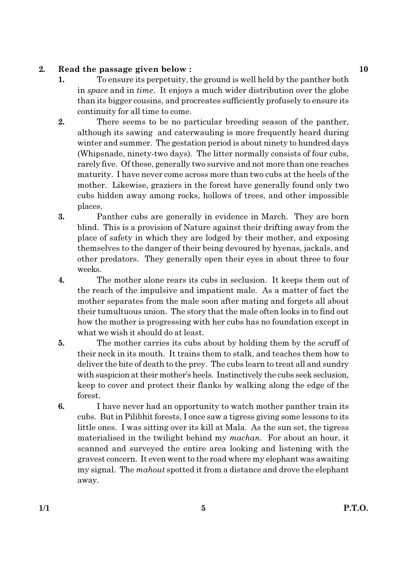#### $2.$ Read the passage given below:

- $\mathbf{1}$ . To ensure its perpetuity, the ground is well held by the panther both in *space* and in *time*. It enjoys a much wider distribution over the globe than its bigger cousins, and procreates sufficiently profusely to ensure its continuity for all time to come.
- $2.$ There seems to be no particular breeding season of the panther, although its sawing and caterwauling is more frequently heard during winter and summer. The gestation period is about ninety to hundred days (Whipsnade, ninety-two days). The litter normally consists of four cubs, rarely five. Of these, generally two survive and not more than one reaches maturity. I have never come across more than two cubs at the heels of the mother. Likewise, graziers in the forest have generally found only two cubs hidden away among rocks, hollows of trees, and other impossible places.
- 3. Panther cubs are generally in evidence in March. They are born blind. This is a provision of Nature against their drifting away from the place of safety in which they are lodged by their mother, and exposing themselves to the danger of their being devoured by hyenas, jackals, and other predators. They generally open their eyes in about three to four weeks.
- $\boldsymbol{4}$ . The mother alone rears its cubs in seclusion. It keeps them out of the reach of the impulsive and impatient male. As a matter of fact the mother separates from the male soon after mating and forgets all about their tumultuous union. The story that the male often looks in to find out how the mother is progressing with her cubs has no foundation except in what we wish it should do at least.
- 5. The mother carries its cubs about by holding them by the scruff of their neck in its mouth. It trains them to stalk, and teaches them how to deliver the bite of death to the prey. The cubs learn to treat all and sundry with suspicion at their mother's heels. Instinctively the cubs seek seclusion, keep to cover and protect their flanks by walking along the edge of the forest.
- I have never had an opportunity to watch mother panther train its 6. cubs. But in Pilibhit forests, I once saw a tigress giving some lessons to its little ones. I was sitting over its kill at Mala. As the sun set, the tigress materialised in the twilight behind my *machan*. For about an hour, it scanned and surveyed the entire area looking and listening with the gravest concern. It even went to the road where my elephant was awaiting my signal. The mahout spotted it from a distance and drove the elephant away.

10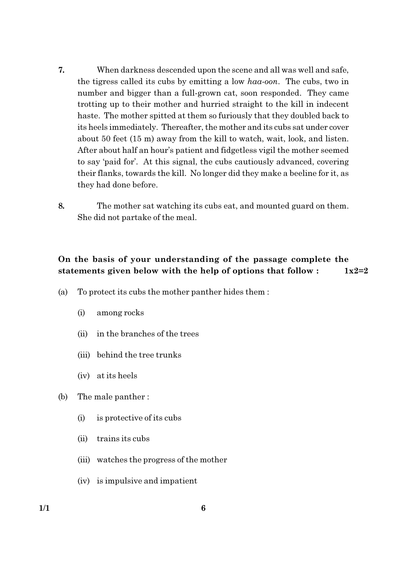- 7. When darkness descended upon the scene and all was well and safe, the tigress called its cubs by emitting a low haa-oon. The cubs, two in number and bigger than a full-grown cat, soon responded. They came trotting up to their mother and hurried straight to the kill in indecent haste. The mother spitted at them so furiously that they doubled back to its heels immediately. Thereafter, the mother and its cubs sat under cover about 50 feet (15 m) away from the kill to watch, wait, look, and listen. After about half an hour's patient and fidgetless vigil the mother seemed to say 'paid for'. At this signal, the cubs cautiously advanced, covering their flanks, towards the kill. No longer did they make a beeline for it, as they had done before.
- 8. The mother sat watching its cubs eat, and mounted guard on them. She did not partake of the meal.

#### On the basis of your understanding of the passage complete the statements given below with the help of options that follow:  $1x2=2$

- To protect its cubs the mother panther hides them:  $(a)$ 
	- $(i)$ among rocks
	- in the branches of the trees  $(ii)$
	- (iii) behind the tree trunks
	- (iv) at its heels
- (b) The male panther:
	- $(i)$ is protective of its cubs
	- trains its cubs  $(ii)$
	- (iii) watches the progress of the mother
	- (iv) is impulsive and impatient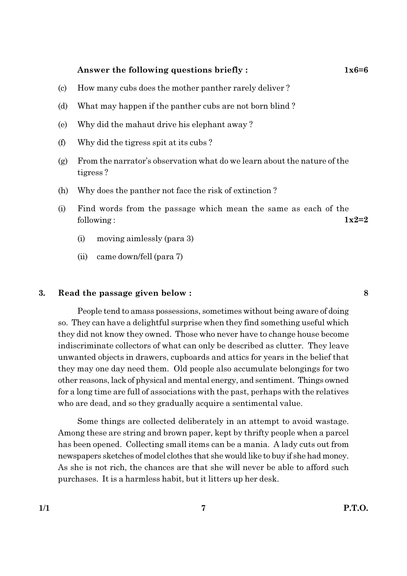### Answer the following questions briefly:

8

- How many cubs does the mother panther rarely deliver?  $(c)$
- What may happen if the panther cubs are not born blind? (d)
- Why did the mahaut drive his elephant away? (e)
- $(f)$ Why did the tigress spit at its cubs?
- From the narrator's observation what do we learn about the nature of the  $(g)$ tigress?
- Why does the panther not face the risk of extinction?  $(h)$
- $(i)$ Find words from the passage which mean the same as each of the  $1x2=2$ following:
	- $(i)$ moving aimlessly (para 3)
	- came down/fell (para 7)  $(ii)$

#### 3. Read the passage given below:

People tend to amass possessions, sometimes without being aware of doing so. They can have a delightful surprise when they find something useful which they did not know they owned. Those who never have to change house become indiscriminate collectors of what can only be described as clutter. They leave unwanted objects in drawers, cupboards and attics for years in the belief that they may one day need them. Old people also accumulate belongings for two other reasons, lack of physical and mental energy, and sentiment. Things owned for a long time are full of associations with the past, perhaps with the relatives who are dead, and so they gradually acquire a sentimental value.

Some things are collected deliberately in an attempt to avoid wastage. Among these are string and brown paper, kept by thrifty people when a parcel has been opened. Collecting small items can be a mania. A lady cuts out from newspapers sketches of model clothes that she would like to buy if she had money. As she is not rich, the chances are that she will never be able to afford such purchases. It is a harmless habit, but it litters up her desk.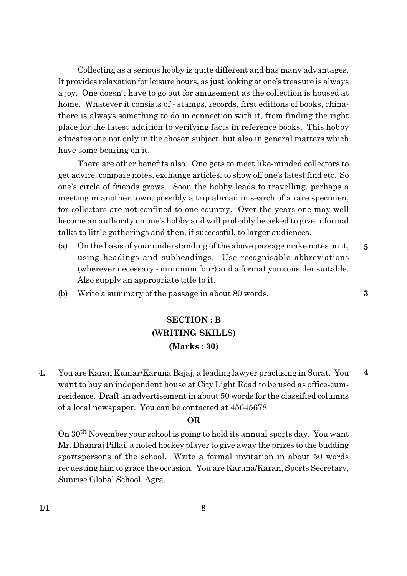Collecting as a serious hobby is quite different and has many advantages. It provides relaxation for leisure hours, as just looking at one's treasure is always a joy. One doesn't have to go out for amusement as the collection is housed at home. Whatever it consists of - stamps, records, first editions of books, chinathere is always something to do in connection with it, from finding the right place for the latest addition to verifying facts in reference books. This hobby educates one not only in the chosen subject, but also in general matters which have some bearing on it.

There are other benefits also. One gets to meet like-minded collectors to get advice, compare notes, exchange articles, to show off one's latest find etc. So one's circle of friends grows. Soon the hobby leads to travelling, perhaps a meeting in another town, possibly a trip abroad in search of a rare specimen, for collectors are not confined to one country. Over the years one may well become an authority on one's hobby and will probably be asked to give informal talks to little gatherings and then, if successful, to larger audiences.

(a) On the basis of your understanding of the above passage make notes on it,  $\overline{5}$ using headings and subheadings. Use recognisable abbreviations (wherever necessary - minimum four) and a format you consider suitable. Also supply an appropriate title to it.

 $\bf{3}$ 

Write a summary of the passage in about 80 words. (b)

## **SECTION: B** (WRITING SKILLS)  $(Marks:30)$

 $\overline{4}$ . You are Karan Kumar/Karuna Bajaj, a leading lawyer practising in Surat. You  $\overline{\mathbf{4}}$ want to buy an independent house at City Light Road to be used as office-cumresidence. Draft an advertisement in about 50 words for the classified columns of a local newspaper. You can be contacted at 45645678

### **OR**

On 30<sup>th</sup> November your school is going to hold its annual sports day. You want Mr. Dhanraj Pillai, a noted hockey player to give away the prizes to the budding sportspersons of the school. Write a formal invitation in about 50 words requesting him to grace the occasion. You are Karuna/Karan, Sports Secretary, Sunrise Global School, Agra.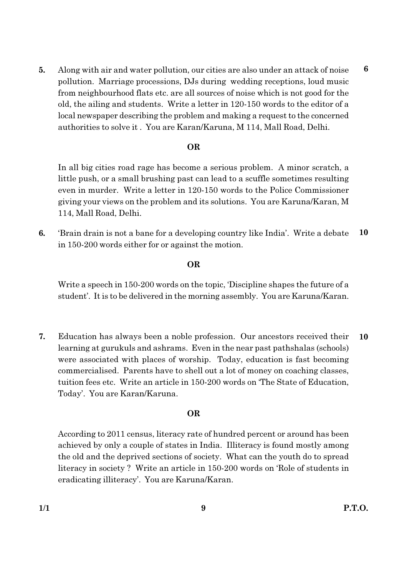Along with air and water pollution, our cities are also under an attack of noise 5. pollution. Marriage processions, DJs during wedding receptions, loud music from neighbourhood flats etc. are all sources of noise which is not good for the old, the ailing and students. Write a letter in 120-150 words to the editor of a local newspaper describing the problem and making a request to the concerned authorities to solve it. You are Karan/Karuna, M 114, Mall Road, Delhi.

## **OR**

In all big cities road rage has become a serious problem. A minor scratch, a little push, or a small brushing past can lead to a scuffle sometimes resulting even in murder. Write a letter in 120-150 words to the Police Commissioner giving your views on the problem and its solutions. You are Karuna/Karan, M 114, Mall Road, Delhi.

10 6. 'Brain drain is not a bane for a developing country like India'. Write a debate in 150-200 words either for or against the motion.

## **OR**

Write a speech in 150-200 words on the topic, Discipline shapes the future of a student'. It is to be delivered in the morning assembly. You are Karuna/Karan.

7. Education has always been a noble profession. Our ancestors received their 10 learning at gurukuls and ashrams. Even in the near past pathshalas (schools) were associated with places of worship. Today, education is fast becoming commercialised. Parents have to shell out a lot of money on coaching classes, tuition fees etc. Write an article in 150-200 words on 'The State of Education, Today'. You are Karan/Karuna.

## **OR**

According to 2011 census, literacy rate of hundred percent or around has been achieved by only a couple of states in India. Illiteracy is found mostly among the old and the deprived sections of society. What can the youth do to spread literacy in society? Write an article in 150-200 words on 'Role of students in eradicating illiteracy'. You are Karuna/Karan.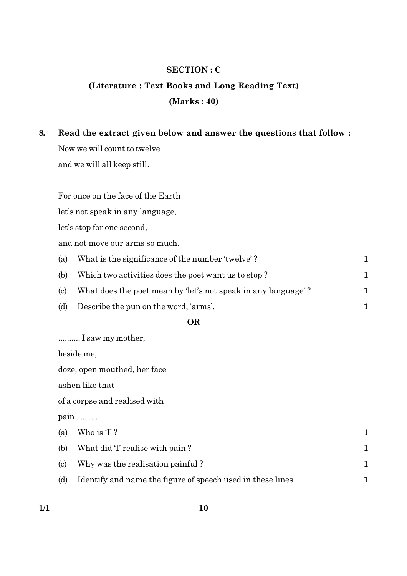## **SECTION: C**

## (Literature: Text Books and Long Reading Text)  $(Marks: 40)$

8. Read the extract given below and answer the questions that follow : Now we will count to twelve and we will all keep still.

For once on the face of the Earth

let's not speak in any language,

let's stop for one second,

and not move our arms so much.

| (a) | What is the significance of the number 'twelve'?              |  |
|-----|---------------------------------------------------------------|--|
| (b) | Which two activities does the poet want us to stop?           |  |
| (c) | What does the poet mean by 'let's not speak in any language'? |  |
| (d) | Describe the pun on the word, 'arms'.                         |  |

## **OR**

.......... I saw my mother,

beside me,

doze, open mouthed, her face

ashen like that

of a corpse and realised with

pain .........

| (a) | Who is $T$ ?                                                |  |
|-----|-------------------------------------------------------------|--|
| (b) | What did 'I' realise with pain?                             |  |
| (c) | Why was the realisation painful?                            |  |
| (d) | Identify and name the figure of speech used in these lines. |  |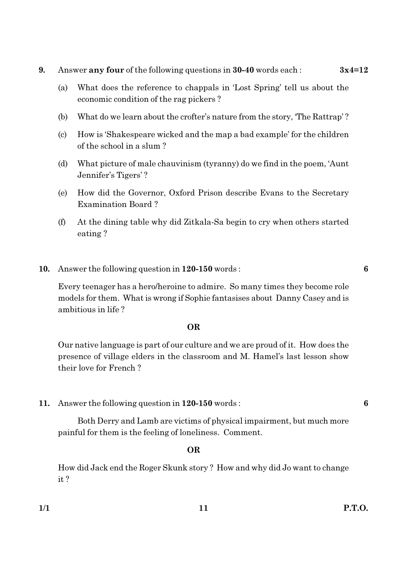- 9. Answer any four of the following questions in 30-40 words each:  $3x4=12$ 
	- $(a)$ What does the reference to chappals in 'Lost Spring' tell us about the economic condition of the rag pickers?
	- What do we learn about the crofter's nature from the story, 'The Rattrap'? (b)
	- $(c)$ How is 'Shakespeare wicked and the map a bad example' for the children of the school in a slum?
	- $(d)$ What picture of male chauvinism (tyranny) do we find in the poem, 'Aunt Jennifer's Tigers'?
	- How did the Governor, Oxford Prison describe Evans to the Secretary (e) **Examination Board?**
	- $(f)$ At the dining table why did Zitkala-Sa begin to cry when others started eating?
- 10. Answer the following question in 120-150 words:

Every teenager has a hero/heroine to admire. So many times they become role models for them. What is wrong if Sophie fantasises about Danny Casey and is ambitious in life?

## **OR**

Our native language is part of our culture and we are proud of it. How does the presence of village elders in the classroom and M. Hamel's last lesson show their love for French?

Answer the following question in 120-150 words: 11.

Both Derry and Lamb are victims of physical impairment, but much more painful for them is the feeling of loneliness. Comment.

### **OR**

How did Jack end the Roger Skunk story? How and why did Jo want to change  $it?$ 

6

6